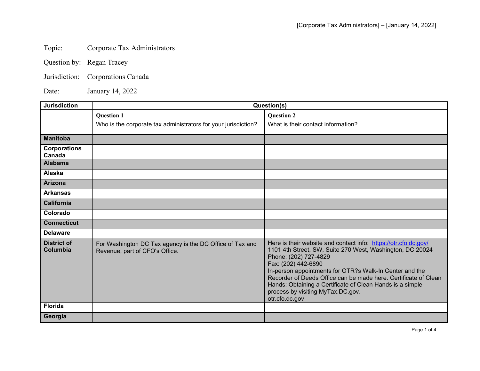## Topic: Corporate Tax Administrators

- Question by: Regan Tracey
- Jurisdiction: Corporations Canada

Date: January 14, 2022

| <b>Jurisdiction</b>            | Question(s)                                                                                |                                                                                                                                                                                                                                                                                                                                                                                                                                |
|--------------------------------|--------------------------------------------------------------------------------------------|--------------------------------------------------------------------------------------------------------------------------------------------------------------------------------------------------------------------------------------------------------------------------------------------------------------------------------------------------------------------------------------------------------------------------------|
|                                | <b>Question 1</b>                                                                          | <b>Question 2</b>                                                                                                                                                                                                                                                                                                                                                                                                              |
|                                | Who is the corporate tax administrators for your jurisdiction?                             | What is their contact information?                                                                                                                                                                                                                                                                                                                                                                                             |
| <b>Manitoba</b>                |                                                                                            |                                                                                                                                                                                                                                                                                                                                                                                                                                |
| <b>Corporations</b><br>Canada  |                                                                                            |                                                                                                                                                                                                                                                                                                                                                                                                                                |
| <b>Alabama</b>                 |                                                                                            |                                                                                                                                                                                                                                                                                                                                                                                                                                |
| Alaska                         |                                                                                            |                                                                                                                                                                                                                                                                                                                                                                                                                                |
| <b>Arizona</b>                 |                                                                                            |                                                                                                                                                                                                                                                                                                                                                                                                                                |
| <b>Arkansas</b>                |                                                                                            |                                                                                                                                                                                                                                                                                                                                                                                                                                |
| <b>California</b>              |                                                                                            |                                                                                                                                                                                                                                                                                                                                                                                                                                |
| Colorado                       |                                                                                            |                                                                                                                                                                                                                                                                                                                                                                                                                                |
| <b>Connecticut</b>             |                                                                                            |                                                                                                                                                                                                                                                                                                                                                                                                                                |
| <b>Delaware</b>                |                                                                                            |                                                                                                                                                                                                                                                                                                                                                                                                                                |
| <b>District of</b><br>Columbia | For Washington DC Tax agency is the DC Office of Tax and<br>Revenue, part of CFO's Office. | Here is their website and contact info: https://otr.cfo.dc.gov/<br>1101 4th Street, SW, Suite 270 West, Washington, DC 20024<br>Phone: (202) 727-4829<br>Fax: (202) 442-6890<br>In-person appointments for OTR?s Walk-In Center and the<br>Recorder of Deeds Office can be made here. Certificate of Clean<br>Hands: Obtaining a Certificate of Clean Hands is a simple<br>process by visiting MyTax.DC.gov.<br>otr.cfo.dc.gov |
| <b>Florida</b>                 |                                                                                            |                                                                                                                                                                                                                                                                                                                                                                                                                                |
| Georgia                        |                                                                                            |                                                                                                                                                                                                                                                                                                                                                                                                                                |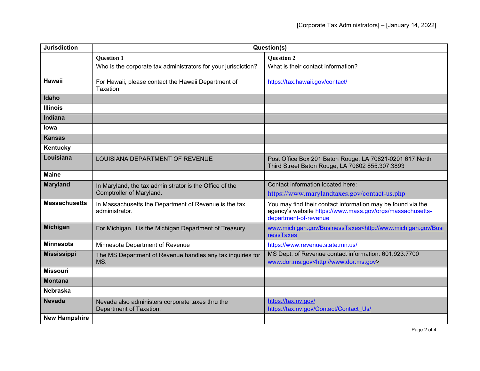| <b>Jurisdiction</b>  | Question(s)                                                                         |                                                                                                                                                   |
|----------------------|-------------------------------------------------------------------------------------|---------------------------------------------------------------------------------------------------------------------------------------------------|
|                      | <b>Question 1</b>                                                                   | <b>Question 2</b>                                                                                                                                 |
|                      | Who is the corporate tax administrators for your jurisdiction?                      | What is their contact information?                                                                                                                |
| <b>Hawaii</b>        | For Hawaii, please contact the Hawaii Department of<br>Taxation.                    | https://tax.hawaii.gov/contact/                                                                                                                   |
| Idaho                |                                                                                     |                                                                                                                                                   |
| <b>Illinois</b>      |                                                                                     |                                                                                                                                                   |
| Indiana              |                                                                                     |                                                                                                                                                   |
| lowa                 |                                                                                     |                                                                                                                                                   |
| <b>Kansas</b>        |                                                                                     |                                                                                                                                                   |
| Kentucky             |                                                                                     |                                                                                                                                                   |
| Louisiana            | LOUISIANA DEPARTMENT OF REVENUE                                                     | Post Office Box 201 Baton Rouge, LA 70821-0201 617 North<br>Third Street Baton Rouge, LA 70802 855.307.3893                                       |
| <b>Maine</b>         |                                                                                     |                                                                                                                                                   |
| <b>Maryland</b>      | In Maryland, the tax administrator is the Office of the<br>Comptroller of Maryland. | Contact information located here:<br>https://www.marylandtaxes.gov/contact-us.php                                                                 |
| <b>Massachusetts</b> | In Massachusetts the Department of Revenue is the tax<br>administrator.             | You may find their contact information may be found via the<br>agency's website https://www.mass.gov/orgs/massachusetts-<br>department-of-revenue |
| <b>Michigan</b>      | For Michigan, it is the Michigan Department of Treasury                             | www.michigan.gov/BusinessTaxes <http: busi<br="" www.michigan.gov="">nessTaxes</http:>                                                            |
| <b>Minnesota</b>     | Minnesota Department of Revenue                                                     | https://www.revenue.state.mn.us/                                                                                                                  |
| <b>Mississippi</b>   | The MS Department of Revenue handles any tax inquiries for<br>MS.                   | MS Dept. of Revenue contact information: 601.923.7700<br>www.dor.ms.gov <http: www.dor.ms.gov=""></http:>                                         |
| <b>Missouri</b>      |                                                                                     |                                                                                                                                                   |
| <b>Montana</b>       |                                                                                     |                                                                                                                                                   |
| <b>Nebraska</b>      |                                                                                     |                                                                                                                                                   |
| <b>Nevada</b>        | Nevada also administers corporate taxes thru the<br>Department of Taxation.         | https://tax.nv.gov/<br>https://tax.nv.gov/Contact/Contact_Us/                                                                                     |
| <b>New Hampshire</b> |                                                                                     |                                                                                                                                                   |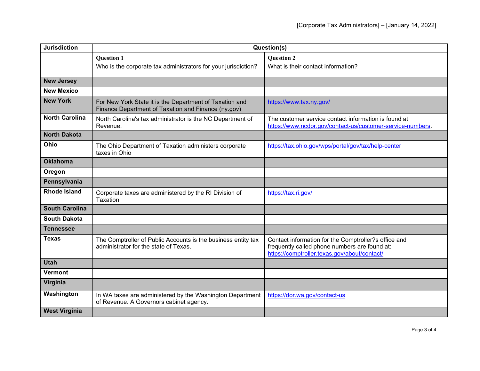| <b>Jurisdiction</b>   | Question(s)                                                                                                    |                                                                                                                                                       |
|-----------------------|----------------------------------------------------------------------------------------------------------------|-------------------------------------------------------------------------------------------------------------------------------------------------------|
|                       | <b>Question 1</b><br>Who is the corporate tax administrators for your jurisdiction?                            | <b>Question 2</b><br>What is their contact information?                                                                                               |
|                       |                                                                                                                |                                                                                                                                                       |
| <b>New Jersey</b>     |                                                                                                                |                                                                                                                                                       |
| <b>New Mexico</b>     |                                                                                                                |                                                                                                                                                       |
| <b>New York</b>       | For New York State it is the Department of Taxation and<br>Finance Department of Taxation and Finance (ny.gov) | https://www.tax.ny.gov/                                                                                                                               |
| <b>North Carolina</b> | North Carolina's tax administrator is the NC Department of<br>Revenue.                                         | The customer service contact information is found at<br>https://www.ncdor.gov/contact-us/customer-service-numbers.                                    |
| <b>North Dakota</b>   |                                                                                                                |                                                                                                                                                       |
| Ohio                  | The Ohio Department of Taxation administers corporate<br>taxes in Ohio                                         | https://tax.ohio.gov/wps/portal/gov/tax/help-center                                                                                                   |
| <b>Oklahoma</b>       |                                                                                                                |                                                                                                                                                       |
| Oregon                |                                                                                                                |                                                                                                                                                       |
| Pennsylvania          |                                                                                                                |                                                                                                                                                       |
| <b>Rhode Island</b>   | Corporate taxes are administered by the RI Division of<br><b>Taxation</b>                                      | https://tax.ri.gov/                                                                                                                                   |
| <b>South Carolina</b> |                                                                                                                |                                                                                                                                                       |
| <b>South Dakota</b>   |                                                                                                                |                                                                                                                                                       |
| <b>Tennessee</b>      |                                                                                                                |                                                                                                                                                       |
| <b>Texas</b>          | The Comptroller of Public Accounts is the business entity tax<br>administrator for the state of Texas.         | Contact information for the Comptroller?s office and<br>frequently called phone numbers are found at:<br>https://comptroller.texas.gov/about/contact/ |
| <b>Utah</b>           |                                                                                                                |                                                                                                                                                       |
| <b>Vermont</b>        |                                                                                                                |                                                                                                                                                       |
| Virginia              |                                                                                                                |                                                                                                                                                       |
| Washington            | In WA taxes are administered by the Washington Department<br>of Revenue. A Governors cabinet agency.           | https://dor.wa.gov/contact-us                                                                                                                         |
| <b>West Virginia</b>  |                                                                                                                |                                                                                                                                                       |